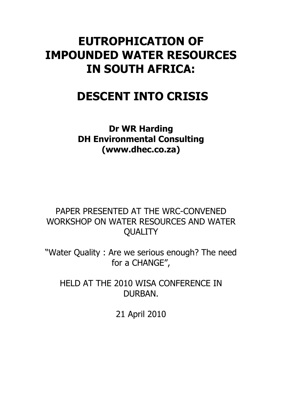## **EUTROPHICATION OF IMPOUNDED WATER RESOURCES IN SOUTH AFRICA:**

# **DESCENT INTO CRISIS**

**Dr WR Harding DH Environmental Consulting (www.dhec.co.za)**

PAPER PRESENTED AT THE WRC-CONVENED WORKSHOP ON WATER RESOURCES AND WATER **QUALITY** 

"Water Quality : Are we serious enough? The need for a CHANGE",

HELD AT THE 2010 WISA CONFERENCE IN DURBAN.

21 April 2010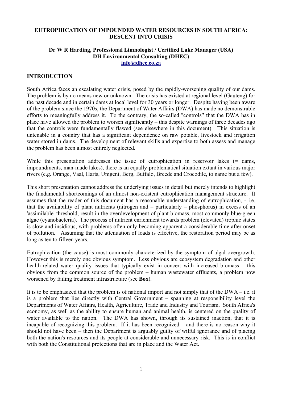#### **EUTROPHICATION OF IMPOUNDED WATER RESOURCES IN SOUTH AFRICA: DESCENT INTO CRISIS**

## **Dr W R Harding, Professional Limnologist / Certified Lake Manager (USA) DH Environmental Consulting (DHEC)**

**info@dhec.co.za**

## **INTRODUCTION**

South Africa faces an escalating water crisis, posed by the rapidly-worsening quality of our dams. The problem is by no means new or unknown. The crisis has existed at regional level (Gauteng) for the past decade and in certain dams at local level for 30 years or longer. Despite having been aware of the problem since the 1970s, the Department of Water Affairs (DWA) has made no demonstrable efforts to meaningfully address it. To the contrary, the so-called ''controls" that the DWA has in place have allowed the problem to worsen significantly – this despite warnings of three decades ago that the controls were fundamentally flawed (see elsewhere in this document). This situation is untenable in a country that has a significant dependence on raw potable, livestock and irrigation water stored in dams. The development of relevant skills and expertise to both assess and manage the problem has been almost entirely neglected.

While this presentation addresses the issue of eutrophication in reservoir lakes (= dams, impoundments, man-made lakes), there is an equally-problematical situation extant in various major rivers (e.g. Orange, Vaal, Harts, Umgeni, Berg, Buffalo, Breede and Crocodile, to name but a few).

This short presentation cannot address the underlying issues in detail but merely intends to highlight the fundamental shortcomings of an almost non-existent eutrophication management structure. It assumes that the reader of this document has a reasonable understanding of eutrophication, - i.e. that the availability of plant nutrients (nitrogen and – particularly – phosphorus) in excess of an 'assimilable' threshold, result in the overdevelopment of plant biomass, most commonly blue-green algae (cyanobacteria). The process of nutrient enrichment towards problem (elevated) trophic states is slow and insidious, with problems often only becoming apparent a considerable time after onset of pollution. Assuming that the attenuation of loads is effective, the restoration period may be as long as ten to fifteen years.

Eutrophication (the cause) is most commonly characterized by the symptom of algal overgrowth. However this is merely one obvious symptom. Less obvious are ecosystem degradation and other health-related water quality issues that typically exist in concert with increased biomass – this obvious from the common source of the problem – human wastewater effluents, a problem now worsened by failing treatment infrastructure (see **Box**).

It is to be emphasized that the problem is of national import and not simply that of the DWA – i.e. it is a problem that lies directly with Central Government – spanning at responsibility level the Departments of Water Affairs, Health, Agriculture, Trade and Industry and Tourism. South Africa's economy, as well as the ability to ensure human and animal health, is centered on the quality of water available to the nation. The DWA has shown, through its sustained inaction, that it is incapable of recognizing this problem. If it has been recognized – and there is no reason why it should not have been – then the Department is arguably guilty of wilful ignorance and of placing both the nation's resources and its people at considerable and unnecessary risk. This is in conflict with both the Constitutional protections that are in place and the Water Act.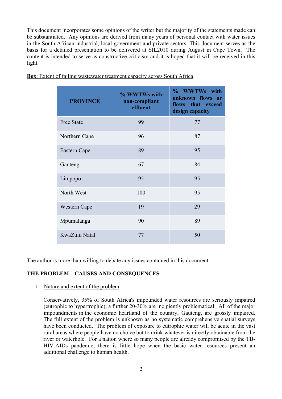This document incorporates some opinions of the writer but the majority of the statements made can be substantiated. Any opinions are derived from many years of personal contact with water issues in the South African industrial, local government and private sectors. This document serves as the basis for a detailed presentation to be delivered at SIL2010 during August in Cape Town. The content is intended to serve as constructive criticism and it is hoped that it will be received in this light.

| <b>PROVINCE</b>   | % WWTWs with<br>non-compliant<br>effluent | % WWTWs with<br>unknown flows or<br>flows that exceed<br>design capacity |
|-------------------|-------------------------------------------|--------------------------------------------------------------------------|
| <b>Free State</b> | 99                                        | 77                                                                       |
| Northern Cape     | 96                                        | 87                                                                       |
| Eastern Cape      | 89                                        | 95                                                                       |
| Gauteng           | 67                                        | 84                                                                       |
| Limpopo           | 95                                        | 95                                                                       |
| North West        | 100                                       | 95                                                                       |
| Western Cape      | 19                                        | 29                                                                       |
| Mpumalanga        | 90                                        | 89                                                                       |
| KwaZulu Natal     | 77                                        | 50                                                                       |

**Box**: Extent of failing wastewater treatment capacity across South Africa.

The author is more than willing to debate any issues contained in this document.

### **THE PROBLEM – CAUSES AND CONSEQUENCES**

1. Nature and extent of the problem

Conservatively, 35% of South Africa's impounded water resources are seriously impaired (eutrophic to hypertrophic); a further 20-30% are incipiently problematical. All of the major impoundments in the economic heartland of the country, Gauteng, are grossly impaired. The full extent of the problem is unknown as no systematic comprehensive spatial surveys have been conducted. The problem of exposure to eutrophic water will be acute in the vast rural areas where people have no choice but to drink whatever is directly obtainable from the river or waterhole. For a nation where so many people are already compromised by the TB-HIV-AIDs pandemic, there is little hope when the basic water resources present an additional challenge to human health.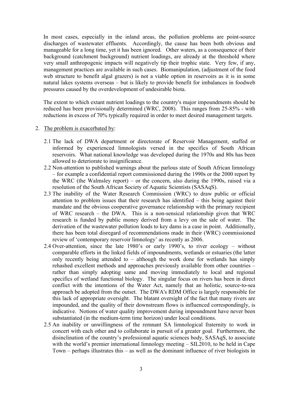In most cases, especially in the inland areas, the pollution problems are point-source discharges of wastewater effluents. Accordingly, the cause has been both obvious and manageable for a long time, yet it has been ignored. Other waters, as a consequence of their background (catchment background) nutrient loadings, are already at the threshold where very small anthropogenic impacts will negatively tip their trophic state. Very few, if any, management practices are available in such cases. Biomanipulation, (adjustment of the food web structure to benefit algal grazers) is not a viable option in reservoirs as it is in some natural lakes systems overseas – but is likely to provide benefit for imbalances in foodweb pressures caused by the overdevelopment of undesirable biota.

The extent to which extant nutrient loadings to the country's major impoundments should be reduced has been provisionally determined (WRC, 2008). This ranges from 25-85% - with reductions in excess of 70% typically required in order to meet desired management targets.

- 2. The problem is exacerbated by:
	- 2.1 The lack of DWA department or directorate of Reservoir Management, staffed or informed by experienced limnologists versed in the specifics of South African reservoirs. What national knowledge was developed during the 1970s and 80s has been allowed to deteriorate to insignificance.
	- 2.2 Non-attention to published warnings about the parlous state of South African limnology – for example a confidential report commissioned during the 1990s or the 2000 report by the WRC (the Walmsley report) – or the concern, also during the 1990s, raised via a resolution of the South African Society of Aquatic Scientists (SASAqS).
	- 2.3 The inability of the Water Research Commission (WRC) to draw public or official attention to problem issues that their research has identified – this being against their mandate and the obvious cooperative governance relationship with the primary recipient of WRC research – the DWA. This is a non-sensical relationship given that WRC research is funded by public money derived from a levy on the sale of water. The derivation of the wastewater pollution loads to key dams is a case in point. Additionally, there has been total disregard of recommendations made in their (WRC) commissioned review of 'contemporary reservoir limnology' as recently as 2006.
	- 2.4 Over-attention, since the late 1980's or early 1990's, to river ecology without comparable efforts in the linked fields of impoundments, wetlands or estuaries (the latter only recently being attended to – although the work done for wetlands has simply rehashed excellent methods and approaches previously available from other countries – rather than simply adopting same and moving immediately to local and regional specifics of wetland functional biology. The singular focus on rivers has been in direct conflict with the intentions of the Water Act, namely that an holistic, source-to-sea approach be adopted from the outset. The DWA's RDM Office is largely responsible for this lack of appropriate oversight. The blatant oversight of the fact that many rivers are impounded, and the quality of their downstream flows is influenced correspondingly, is indicative. Notions of water quality improvement during impoundment have never been substantiated (in the medium-term time horizon) under local conditions.
	- 2.5 An inability or unwillingness of the remnant SA limnological fraternity to work in concert with each other and to collaborate in pursuit of a greater goal. Furthermore, the disinclination of the country's professional aquatic sciences body, SASAqS, to associate with the world's premier international limnology meeting – SIL2010, to be held in Cape Town – perhaps illustrates this – as well as the dominant influence of river biologists in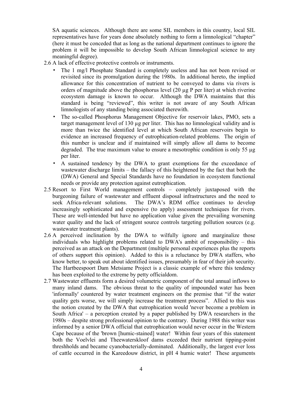SA aquatic sciences. Although there are some SIL members in this country, local SIL representatives have for years done absolutely nothing to form a limnological "chapter" (here it must be conceded that as long as the national department continues to ignore the problem it will be impossible to develop South African limnological science to any meaningful degree).

- 2.6 A lack of effective protective controls or instruments.
	- The 1 mg/l Phosphate Standard is completely useless and has not been revised or revisited since its promulgation during the 1980s. In additional hereto, the implied allowance for this concentration of nutrient to be conveyed to dams via rivers is orders of magnitude above the phosphorus level  $(20 \mu g$  P per liter) at which riverine ecosystem damage is known to occur. Although the DWA maintains that this standard is being "reviewed", this writer is not aware of any South African limnologists of any standing being associated therewith.
	- The so-called Phosphorus Management Objective for reservoir lakes, PMO, sets a target management level of  $130 \mu$ g per liter. This has no limnological validity and is more than twice the identified level at which South African reservoirs begin to evidence an increased frequency of eutrophication-related problems. The origin of this number is unclear and if maintained will simply allow all dams to become degraded. The true maximum value to ensure a mesotrophic condition is only 55  $\mu$ g per liter.
	- A sustained tendency by the DWA to grant exemptions for the exceedance of wastewater discharge limits – the fallacy of this heightened by the fact that both the (DWA) General and Special Standards have no foundation in ecosystem functional needs or provide any protection against eutrophication.
- 2.5 Resort to First World management controls completely juxtaposed with the burgeoning failure of wastewater and effluent disposal infrastructures and the need to seek Africa-relevant solutions. The DWA's RDM office continues to develop increasingly sophisticated and expensive (to apply) assessment techniques for rivers. These are well-intended but have no application value given the prevailing worsening water quality and the lack of stringent source controls targeting pollution sources (e.g. wastewater treatment plants).
- 2.6 A perceived inclination by the DWA to wilfully ignore and marginalize those individuals who highlight problems related to DWA's ambit of responsibility – this perceived as an attack on the Department (multiple personal experiences plus the reports of others support this opinion). Added to this is a reluctance by DWA staffers, who know better, to speak out about identified issues, presumably in fear of their job security. The Hartbeespoort Dam Metsiame Project is a classic example of where this tendency has been exploited to the extreme by petty officialdom.
- 2.7 Wastewater effluents form a desired volumetric component of the total annual inflows to many inland dams. The obvious threat to the quality of impounded water has been 'informally' countered by water treatment engineers on the premise that "if the water quality gets worse, we will simply increase the treatment process". Allied to this was the notion created by the DWA that eutrophication would 'never become a problem in South Africa' – a perception created by a paper published by DWA researchers in the 1980s – despite strong professional opinion to the contrary. During 1988 this writer was informed by a senior DWA official that eutrophication would never occur in the Western Cape because of the 'brown [humic-stained] water! Within four years of this statement both the Voelvlei and Theewaterskloof dams exceeded their nutrient tipping-point threshholds and became cyanobacterially-dominated. Additionally, the largest ever loss of cattle occurred in the Kareedouw district, in pH 4 humic water! These arguments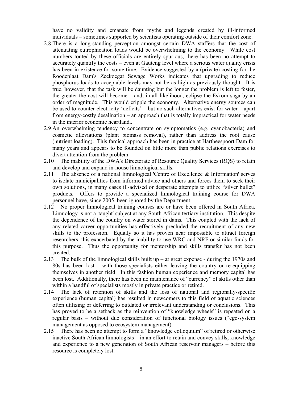have no validity and emanate from myths and legends created by ill-informed individuals – sometimes supported by scientists operating outside of their comfort zone.

- 2.8 There is a long-standing perception amongst certain DWA staffers that the cost of attenuating eutrophication loads would be overwhelming to the economy. While cost numbers touted by these officials are entirely spurious, there has been no attempt to accurately quantify the costs – even at Gauteng level where a serious water quality crisis has been in existence for some time. Evidence suggested by a (private) costing for the Roodeplaat Dam's Zeekoegat Sewage Works indicates that upgrading to reduce phosphorus loads to acceptable levels may not be as high as previously thought. It is true, however, that the task will be daunting but the longer the problem is left to fester, the greater the cost will become – and, in all likelihood, eclipse the Eskom saga by an order of magnitude. This would cripple the economy. Alternative energy sources can be used to counter electricity 'deficits' – but no such alternatives exist for water – apart from energy-costly desalination – an approach that is totally impractical for water needs in the interior economic heartland..
- 2.9 An overwhelming tendency to concentrate on symptomatics (e.g. cyanobacteria) and cosmetic alleviations (plant biomass removal), rather than address the root cause (nutrient loading). This farcical approach has been in practice at Hartbeespoort Dam for many years and appears to be founded on little more than public relations exercises to divert attention from the problem.
- 2.10 The inability of the DWA's Directorate of Resource Quality Services (RQS) to retain and develop and expand in-house limnological skills.
- 2.11 The absence of a national limnological 'Centre of Excellence & Information' serves to isolate municipalities from informed advice and others and forces them to seek their own solutions, in many cases ill-advised or desperate attempts to utilize "silver bullet" products. Offers to provide a specialized limnological training course for DWA personnel have, since 2005, been ignored by the Department.
- 2.12 No proper limnological training courses are or have been offered in South Africa. Limnology is not a 'taught' subject at any South African tertiary institution. This despite the dependence of the country on water stored in dams. This coupled with the lack of any related career opportunities has effectively precluded the recruitment of any new skills to the profession. Equally so it has proven near impossible to attract foreign researchers, this exacerbated by the inability to use WRC and NRF or similar funds for this purpose. Thus the opportunity for mentorship and skills transfer has not been created.
- 2.13 The bulk of the limnological skills built up at great expense during the 1970s and 80s has been lost – with those specialists either leaving the country or re-equipping themselves in another field. In this fashion human experience and memory capital has been lost. Additionally, there has been no maintenance of "currency" of skills other than within a handful of specialists mostly in private practice or retired.
- 2.14 The lack of retention of skills and the loss of national and regionally-specific experience (human capital) has resulted in newcomers to this field of aquatic sciences often utilizing or deferring to outdated or irrelevant understanding or conclusions. This has proved to be a setback as the reinvention of "knowledge wheels" is repeated on a regular basis – without due consideration of functional biology issues ("ego-system management as opposed to ecosystem management).
- 2.15 There has been no attempt to form a "knowledge colloquium" of retired or otherwise inactive South African limnologists – in an effort to retain and convey skills, knowledge and experience to a new generation of South African reservoir managers – before this resource is completely lost.